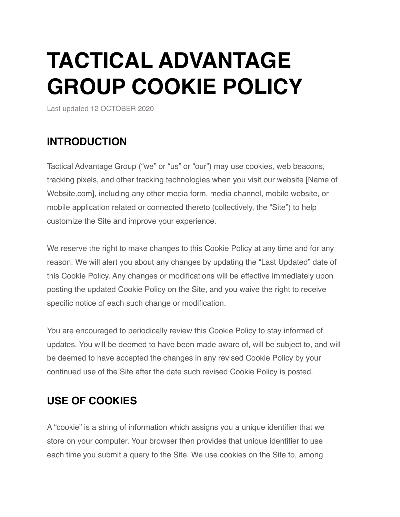# **TACTICAL ADVANTAGE GROUP COOKIE POLICY**

Last updated 12 OCTOBER 2020

### **INTRODUCTION**

Tactical Advantage Group ("we" or "us" or "our") may use cookies, web beacons, tracking pixels, and other tracking technologies when you visit our website [Name of Website.com], including any other media form, media channel, mobile website, or mobile application related or connected thereto (collectively, the "Site") to help customize the Site and improve your experience.

We reserve the right to make changes to this Cookie Policy at any time and for any reason. We will alert you about any changes by updating the "Last Updated" date of this Cookie Policy. Any changes or modifications will be effective immediately upon posting the updated Cookie Policy on the Site, and you waive the right to receive specific notice of each such change or modification.

You are encouraged to periodically review this Cookie Policy to stay informed of updates. You will be deemed to have been made aware of, will be subject to, and will be deemed to have accepted the changes in any revised Cookie Policy by your continued use of the Site after the date such revised Cookie Policy is posted.

## **USE OF COOKIES**

A "cookie" is a string of information which assigns you a unique identifier that we store on your computer. Your browser then provides that unique identifier to use each time you submit a query to the Site. We use cookies on the Site to, among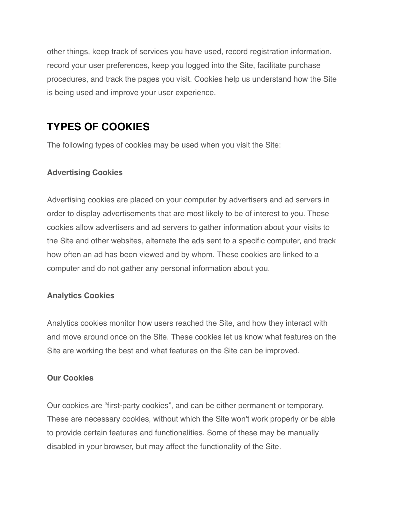other things, keep track of services you have used, record registration information, record your user preferences, keep you logged into the Site, facilitate purchase procedures, and track the pages you visit. Cookies help us understand how the Site is being used and improve your user experience.

# **TYPES OF COOKIES**

The following types of cookies may be used when you visit the Site:

#### **Advertising Cookies**

Advertising cookies are placed on your computer by advertisers and ad servers in order to display advertisements that are most likely to be of interest to you. These cookies allow advertisers and ad servers to gather information about your visits to the Site and other websites, alternate the ads sent to a specific computer, and track how often an ad has been viewed and by whom. These cookies are linked to a computer and do not gather any personal information about you.

#### **Analytics Cookies**

Analytics cookies monitor how users reached the Site, and how they interact with and move around once on the Site. These cookies let us know what features on the Site are working the best and what features on the Site can be improved.

#### **Our Cookies**

Our cookies are "first-party cookies", and can be either permanent or temporary. These are necessary cookies, without which the Site won't work properly or be able to provide certain features and functionalities. Some of these may be manually disabled in your browser, but may affect the functionality of the Site.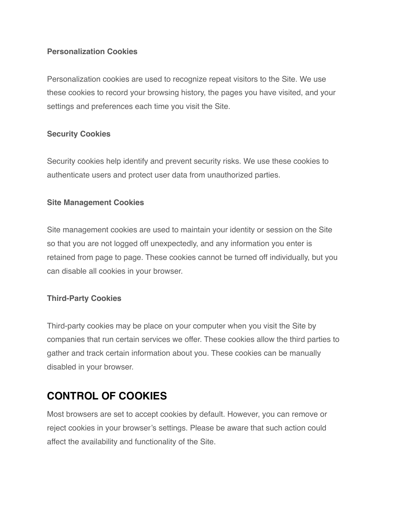#### **Personalization Cookies**

Personalization cookies are used to recognize repeat visitors to the Site. We use these cookies to record your browsing history, the pages you have visited, and your settings and preferences each time you visit the Site.

#### **Security Cookies**

Security cookies help identify and prevent security risks. We use these cookies to authenticate users and protect user data from unauthorized parties.

#### **Site Management Cookies**

Site management cookies are used to maintain your identity or session on the Site so that you are not logged off unexpectedly, and any information you enter is retained from page to page. These cookies cannot be turned off individually, but you can disable all cookies in your browser.

#### **Third-Party Cookies**

Third-party cookies may be place on your computer when you visit the Site by companies that run certain services we offer. These cookies allow the third parties to gather and track certain information about you. These cookies can be manually disabled in your browser.

# **CONTROL OF COOKIES**

Most browsers are set to accept cookies by default. However, you can remove or reject cookies in your browser's settings. Please be aware that such action could affect the availability and functionality of the Site.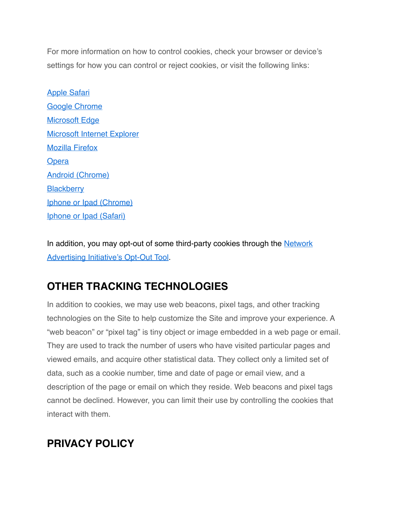For more information on how to control cookies, check your browser or device's settings for how you can control or reject cookies, or visit the following links:

[Apple Safari](https://support.apple.com/kb/ph19214?locale=en_US) [Google Chrome](https://support.google.com/chrome/answer/95647?co=GENIE.Platform%3DDesktop&hl=en) [Microsoft Edge](https://privacy.microsoft.com/en-us/windows-10-microsoft-edge-and-privacy) [Microsoft Internet Explorer](https://support.microsoft.com/en-gb/help/17442/windows-internet-explorer-delete-manage-cookies) Mozilla Firefox **[Opera](http://www.opera.com/help/tutorials/security/cookies/)** [Android \(Chrome\)](https://support.google.com/chrome/answer/95647?co=GENIE.Platform) **[Blackberry](https://help.blackberry.com/en/blackberry-classic/10.3.1/help/mwa1334238823957.html)** [Iphone or Ipad \(Chrome\)](https://support.google.com/chrome/answer/95647?co=GENIE.Platform%3DiOS&hl=en&oco=1) [Iphone or Ipad \(Safari\)](https://support.google.com/chrome/answer/95647?co=GENIE.Platform%3DAndroid&hl=en&oco=1)

In addition, you may opt-out of some third-party cookies through the Network [Advertising Initiative's Opt-Out Tool](http://optout.networkadv).

## **OTHER TRACKING TECHNOLOGIES**

In addition to cookies, we may use web beacons, pixel tags, and other tracking technologies on the Site to help customize the Site and improve your experience. A "web beacon" or "pixel tag" is tiny object or image embedded in a web page or email. They are used to track the number of users who have visited particular pages and viewed emails, and acquire other statistical data. They collect only a limited set of data, such as a cookie number, time and date of page or email view, and a description of the page or email on which they reside. Web beacons and pixel tags cannot be declined. However, you can limit their use by controlling the cookies that interact with them.

## **PRIVACY POLICY**